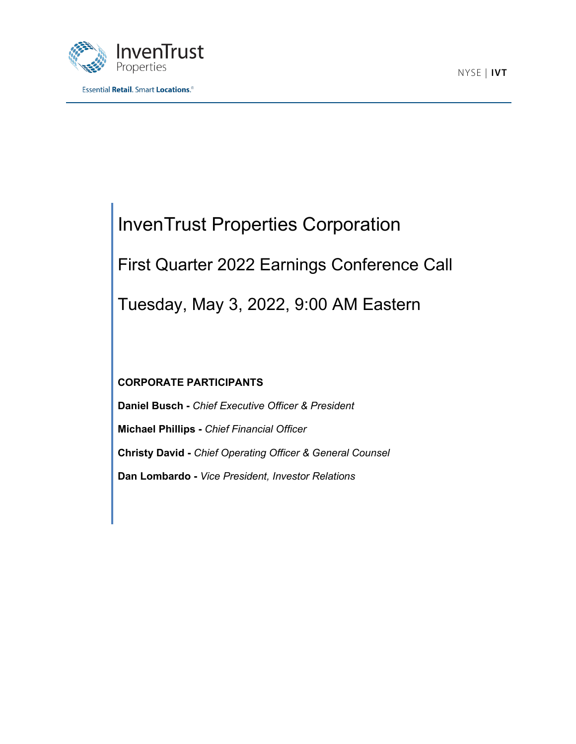



# InvenTrust Properties Corporation First Quarter 2022 Earnings Conference Call

Tuesday, May 3, 2022, 9:00 AM Eastern

# **CORPORATE PARTICIPANTS**

**Daniel Busch -** *Chief Executive Officer & President* **Michael Phillips -** *Chief Financial Officer* **Christy David -** *Chief Operating Officer & General Counsel* **Dan Lombardo -** *Vice President, Investor Relations*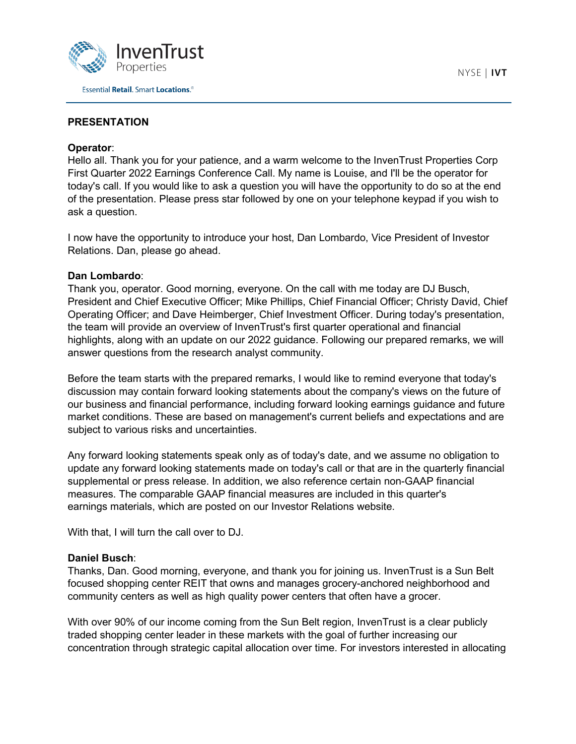

# **PRESENTATION**

## **Operator**:

Hello all. Thank you for your patience, and a warm welcome to the InvenTrust Properties Corp First Quarter 2022 Earnings Conference Call. My name is Louise, and I'll be the operator for today's call. If you would like to ask a question you will have the opportunity to do so at the end of the presentation. Please press star followed by one on your telephone keypad if you wish to ask a question.

I now have the opportunity to introduce your host, Dan Lombardo, Vice President of Investor Relations. Dan, please go ahead.

## **Dan Lombardo**:

Thank you, operator. Good morning, everyone. On the call with me today are DJ Busch, President and Chief Executive Officer; Mike Phillips, Chief Financial Officer; Christy David, Chief Operating Officer; and Dave Heimberger, Chief Investment Officer. During today's presentation, the team will provide an overview of InvenTrust's first quarter operational and financial highlights, along with an update on our 2022 guidance. Following our prepared remarks, we will answer questions from the research analyst community.

Before the team starts with the prepared remarks, I would like to remind everyone that today's discussion may contain forward looking statements about the company's views on the future of our business and financial performance, including forward looking earnings guidance and future market conditions. These are based on management's current beliefs and expectations and are subject to various risks and uncertainties.

Any forward looking statements speak only as of today's date, and we assume no obligation to update any forward looking statements made on today's call or that are in the quarterly financial supplemental or press release. In addition, we also reference certain non-GAAP financial measures. The comparable GAAP financial measures are included in this quarter's earnings materials, which are posted on our Investor Relations website.

With that, I will turn the call over to DJ.

# **Daniel Busch**:

Thanks, Dan. Good morning, everyone, and thank you for joining us. InvenTrust is a Sun Belt focused shopping center REIT that owns and manages grocery-anchored neighborhood and community centers as well as high quality power centers that often have a grocer.

With over 90% of our income coming from the Sun Belt region, InvenTrust is a clear publicly traded shopping center leader in these markets with the goal of further increasing our concentration through strategic capital allocation over time. For investors interested in allocating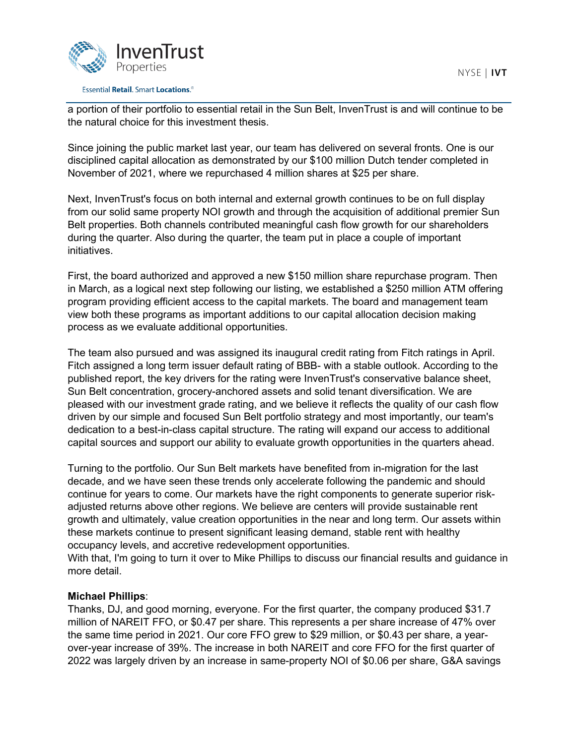



#### **Essential Retail. Smart Locations.**<sup>®</sup>

a portion of their portfolio to essential retail in the Sun Belt, InvenTrust is and will continue to be the natural choice for this investment thesis.

Since joining the public market last year, our team has delivered on several fronts. One is our disciplined capital allocation as demonstrated by our \$100 million Dutch tender completed in November of 2021, where we repurchased 4 million shares at \$25 per share.

Next, InvenTrust's focus on both internal and external growth continues to be on full display from our solid same property NOI growth and through the acquisition of additional premier Sun Belt properties. Both channels contributed meaningful cash flow growth for our shareholders during the quarter. Also during the quarter, the team put in place a couple of important initiatives.

First, the board authorized and approved a new \$150 million share repurchase program. Then in March, as a logical next step following our listing, we established a \$250 million ATM offering program providing efficient access to the capital markets. The board and management team view both these programs as important additions to our capital allocation decision making process as we evaluate additional opportunities.

The team also pursued and was assigned its inaugural credit rating from Fitch ratings in April. Fitch assigned a long term issuer default rating of BBB- with a stable outlook. According to the published report, the key drivers for the rating were InvenTrust's conservative balance sheet, Sun Belt concentration, grocery-anchored assets and solid tenant diversification. We are pleased with our investment grade rating, and we believe it reflects the quality of our cash flow driven by our simple and focused Sun Belt portfolio strategy and most importantly, our team's dedication to a best-in-class capital structure. The rating will expand our access to additional capital sources and support our ability to evaluate growth opportunities in the quarters ahead.

Turning to the portfolio. Our Sun Belt markets have benefited from in-migration for the last decade, and we have seen these trends only accelerate following the pandemic and should continue for years to come. Our markets have the right components to generate superior riskadjusted returns above other regions. We believe are centers will provide sustainable rent growth and ultimately, value creation opportunities in the near and long term. Our assets within these markets continue to present significant leasing demand, stable rent with healthy occupancy levels, and accretive redevelopment opportunities.

With that, I'm going to turn it over to Mike Phillips to discuss our financial results and guidance in more detail.

## **Michael Phillips**:

Thanks, DJ, and good morning, everyone. For the first quarter, the company produced \$31.7 million of NAREIT FFO, or \$0.47 per share. This represents a per share increase of 47% over the same time period in 2021. Our core FFO grew to \$29 million, or \$0.43 per share, a yearover-year increase of 39%. The increase in both NAREIT and core FFO for the first quarter of 2022 was largely driven by an increase in same-property NOI of \$0.06 per share, G&A savings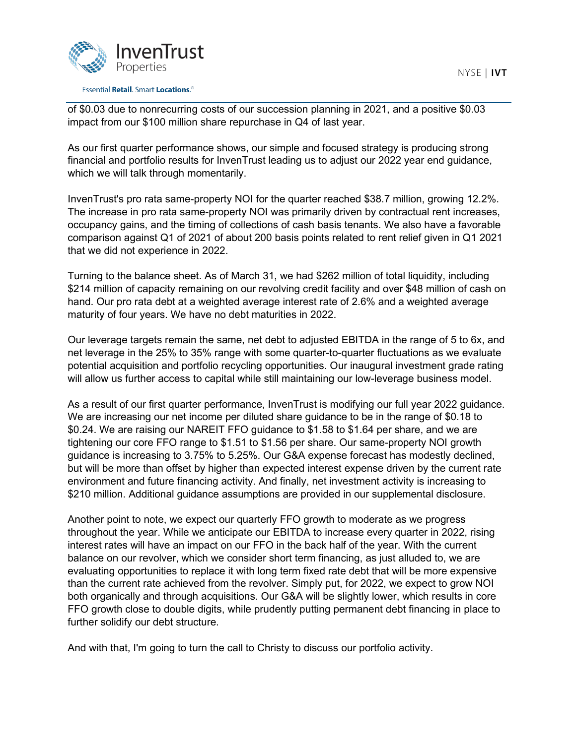

#### **Essential Retail. Smart Locations.**<sup>®</sup>

of \$0.03 due to nonrecurring costs of our succession planning in 2021, and a positive \$0.03 impact from our \$100 million share repurchase in Q4 of last year.

As our first quarter performance shows, our simple and focused strategy is producing strong financial and portfolio results for InvenTrust leading us to adjust our 2022 year end guidance, which we will talk through momentarily.

InvenTrust's pro rata same-property NOI for the quarter reached \$38.7 million, growing 12.2%. The increase in pro rata same-property NOI was primarily driven by contractual rent increases, occupancy gains, and the timing of collections of cash basis tenants. We also have a favorable comparison against Q1 of 2021 of about 200 basis points related to rent relief given in Q1 2021 that we did not experience in 2022.

Turning to the balance sheet. As of March 31, we had \$262 million of total liquidity, including \$214 million of capacity remaining on our revolving credit facility and over \$48 million of cash on hand. Our pro rata debt at a weighted average interest rate of 2.6% and a weighted average maturity of four years. We have no debt maturities in 2022.

Our leverage targets remain the same, net debt to adjusted EBITDA in the range of 5 to 6x, and net leverage in the 25% to 35% range with some quarter-to-quarter fluctuations as we evaluate potential acquisition and portfolio recycling opportunities. Our inaugural investment grade rating will allow us further access to capital while still maintaining our low-leverage business model.

As a result of our first quarter performance, InvenTrust is modifying our full year 2022 guidance. We are increasing our net income per diluted share guidance to be in the range of \$0.18 to \$0.24. We are raising our NAREIT FFO guidance to \$1.58 to \$1.64 per share, and we are tightening our core FFO range to \$1.51 to \$1.56 per share. Our same-property NOI growth guidance is increasing to 3.75% to 5.25%. Our G&A expense forecast has modestly declined, but will be more than offset by higher than expected interest expense driven by the current rate environment and future financing activity. And finally, net investment activity is increasing to \$210 million. Additional guidance assumptions are provided in our supplemental disclosure.

Another point to note, we expect our quarterly FFO growth to moderate as we progress throughout the year. While we anticipate our EBITDA to increase every quarter in 2022, rising interest rates will have an impact on our FFO in the back half of the year. With the current balance on our revolver, which we consider short term financing, as just alluded to, we are evaluating opportunities to replace it with long term fixed rate debt that will be more expensive than the current rate achieved from the revolver. Simply put, for 2022, we expect to grow NOI both organically and through acquisitions. Our G&A will be slightly lower, which results in core FFO growth close to double digits, while prudently putting permanent debt financing in place to further solidify our debt structure.

And with that, I'm going to turn the call to Christy to discuss our portfolio activity.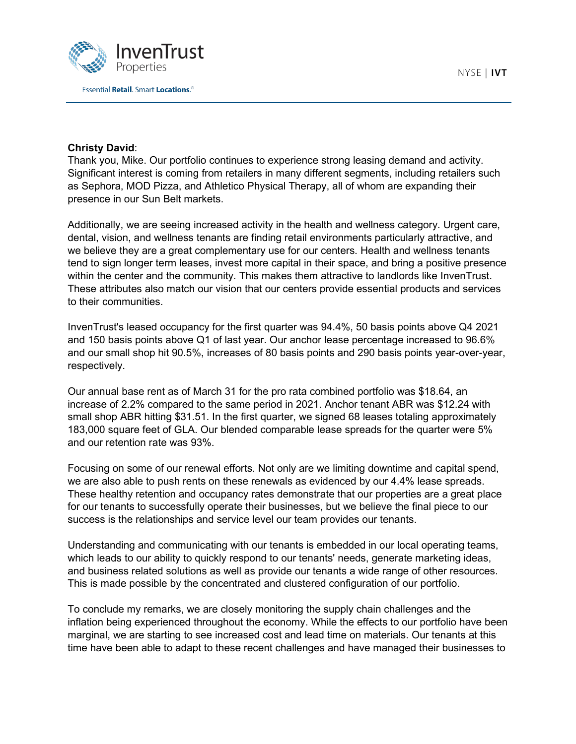

## **Christy David**:

Thank you, Mike. Our portfolio continues to experience strong leasing demand and activity. Significant interest is coming from retailers in many different segments, including retailers such as Sephora, MOD Pizza, and Athletico Physical Therapy, all of whom are expanding their presence in our Sun Belt markets.

Additionally, we are seeing increased activity in the health and wellness category. Urgent care, dental, vision, and wellness tenants are finding retail environments particularly attractive, and we believe they are a great complementary use for our centers. Health and wellness tenants tend to sign longer term leases, invest more capital in their space, and bring a positive presence within the center and the community. This makes them attractive to landlords like InvenTrust. These attributes also match our vision that our centers provide essential products and services to their communities.

InvenTrust's leased occupancy for the first quarter was 94.4%, 50 basis points above Q4 2021 and 150 basis points above Q1 of last year. Our anchor lease percentage increased to 96.6% and our small shop hit 90.5%, increases of 80 basis points and 290 basis points year-over-year, respectively.

Our annual base rent as of March 31 for the pro rata combined portfolio was \$18.64, an increase of 2.2% compared to the same period in 2021. Anchor tenant ABR was \$12.24 with small shop ABR hitting \$31.51. In the first quarter, we signed 68 leases totaling approximately 183,000 square feet of GLA. Our blended comparable lease spreads for the quarter were 5% and our retention rate was 93%.

Focusing on some of our renewal efforts. Not only are we limiting downtime and capital spend, we are also able to push rents on these renewals as evidenced by our 4.4% lease spreads. These healthy retention and occupancy rates demonstrate that our properties are a great place for our tenants to successfully operate their businesses, but we believe the final piece to our success is the relationships and service level our team provides our tenants.

Understanding and communicating with our tenants is embedded in our local operating teams, which leads to our ability to quickly respond to our tenants' needs, generate marketing ideas, and business related solutions as well as provide our tenants a wide range of other resources. This is made possible by the concentrated and clustered configuration of our portfolio.

To conclude my remarks, we are closely monitoring the supply chain challenges and the inflation being experienced throughout the economy. While the effects to our portfolio have been marginal, we are starting to see increased cost and lead time on materials. Our tenants at this time have been able to adapt to these recent challenges and have managed their businesses to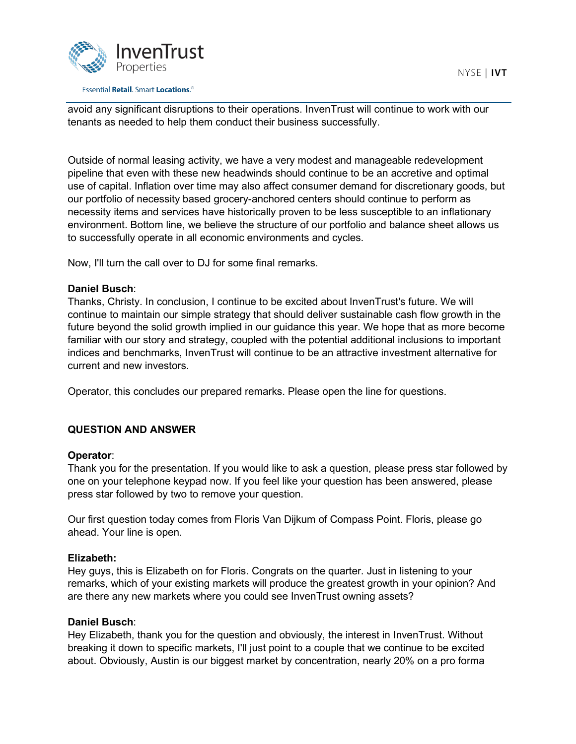

#### **Essential Retail. Smart Locations.**<sup>®</sup>

avoid any significant disruptions to their operations. InvenTrust will continue to work with our tenants as needed to help them conduct their business successfully.

Outside of normal leasing activity, we have a very modest and manageable redevelopment pipeline that even with these new headwinds should continue to be an accretive and optimal use of capital. Inflation over time may also affect consumer demand for discretionary goods, but our portfolio of necessity based grocery-anchored centers should continue to perform as necessity items and services have historically proven to be less susceptible to an inflationary environment. Bottom line, we believe the structure of our portfolio and balance sheet allows us to successfully operate in all economic environments and cycles.

Now, I'll turn the call over to DJ for some final remarks.

## **Daniel Busch**:

Thanks, Christy. In conclusion, I continue to be excited about InvenTrust's future. We will continue to maintain our simple strategy that should deliver sustainable cash flow growth in the future beyond the solid growth implied in our guidance this year. We hope that as more become familiar with our story and strategy, coupled with the potential additional inclusions to important indices and benchmarks, InvenTrust will continue to be an attractive investment alternative for current and new investors.

Operator, this concludes our prepared remarks. Please open the line for questions.

## **QUESTION AND ANSWER**

## **Operator**:

Thank you for the presentation. If you would like to ask a question, please press star followed by one on your telephone keypad now. If you feel like your question has been answered, please press star followed by two to remove your question.

Our first question today comes from Floris Van Dijkum of Compass Point. Floris, please go ahead. Your line is open.

## **Elizabeth:**

Hey guys, this is Elizabeth on for Floris. Congrats on the quarter. Just in listening to your remarks, which of your existing markets will produce the greatest growth in your opinion? And are there any new markets where you could see InvenTrust owning assets?

## **Daniel Busch**:

Hey Elizabeth, thank you for the question and obviously, the interest in InvenTrust. Without breaking it down to specific markets, I'll just point to a couple that we continue to be excited about. Obviously, Austin is our biggest market by concentration, nearly 20% on a pro forma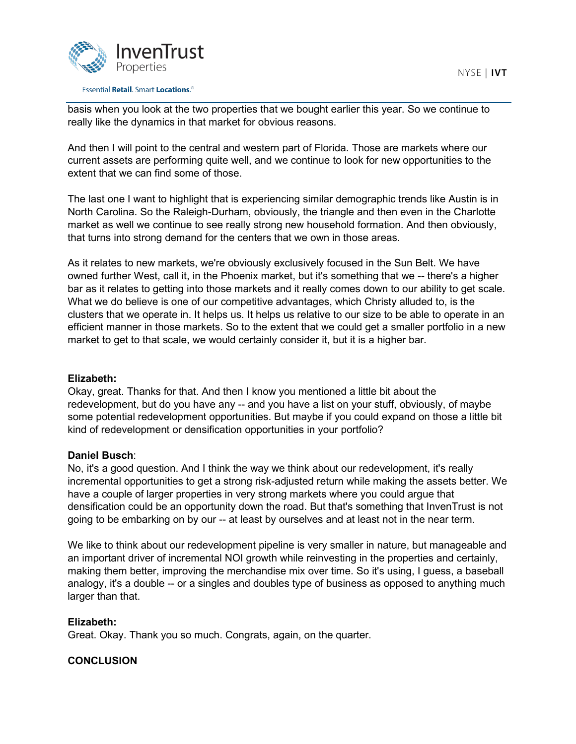

basis when you look at the two properties that we bought earlier this year. So we continue to really like the dynamics in that market for obvious reasons.

And then I will point to the central and western part of Florida. Those are markets where our current assets are performing quite well, and we continue to look for new opportunities to the extent that we can find some of those.

The last one I want to highlight that is experiencing similar demographic trends like Austin is in North Carolina. So the Raleigh-Durham, obviously, the triangle and then even in the Charlotte market as well we continue to see really strong new household formation. And then obviously, that turns into strong demand for the centers that we own in those areas.

As it relates to new markets, we're obviously exclusively focused in the Sun Belt. We have owned further West, call it, in the Phoenix market, but it's something that we -- there's a higher bar as it relates to getting into those markets and it really comes down to our ability to get scale. What we do believe is one of our competitive advantages, which Christy alluded to, is the clusters that we operate in. It helps us. It helps us relative to our size to be able to operate in an efficient manner in those markets. So to the extent that we could get a smaller portfolio in a new market to get to that scale, we would certainly consider it, but it is a higher bar.

## **Elizabeth:**

Okay, great. Thanks for that. And then I know you mentioned a little bit about the redevelopment, but do you have any -- and you have a list on your stuff, obviously, of maybe some potential redevelopment opportunities. But maybe if you could expand on those a little bit kind of redevelopment or densification opportunities in your portfolio?

## **Daniel Busch**:

No, it's a good question. And I think the way we think about our redevelopment, it's really incremental opportunities to get a strong risk-adjusted return while making the assets better. We have a couple of larger properties in very strong markets where you could argue that densification could be an opportunity down the road. But that's something that InvenTrust is not going to be embarking on by our -- at least by ourselves and at least not in the near term.

We like to think about our redevelopment pipeline is very smaller in nature, but manageable and an important driver of incremental NOI growth while reinvesting in the properties and certainly, making them better, improving the merchandise mix over time. So it's using, I guess, a baseball analogy, it's a double -- or a singles and doubles type of business as opposed to anything much larger than that.

## **Elizabeth:**

Great. Okay. Thank you so much. Congrats, again, on the quarter.

## **CONCLUSION**